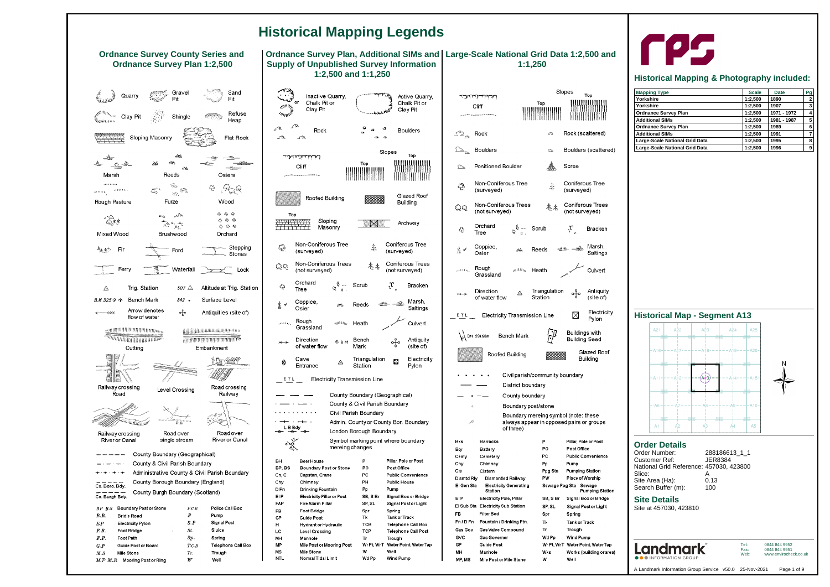#### **Site Details**

Site at 457030, 423810



| Order Number:                           | 288186613 1 1 |
|-----------------------------------------|---------------|
| <b>Customer Ref:</b>                    | JER8384       |
| National Grid Reference: 457030, 423800 |               |
| Slice:                                  |               |
| Site Area (Ha):                         | 0.13          |
| Search Buffer (m):                      | 100           |

Tel: Fax: Web: 0844 844 9952 0844 844 9951 www.envirocheck.co.uk

## **Historical Map - Segment A13**

| $A21$ $A22$<br>SESW<br><b>NE SW</b> |    | and the state<br>SESW<br>TNE NW | A23            | <b>Contract Contract</b><br><b>SE</b> SW<br>TNE NW | A <sup>24</sup> | A25<br><b>SESW</b><br><b>INE WW</b>       |   |
|-------------------------------------|----|---------------------------------|----------------|----------------------------------------------------|-----------------|-------------------------------------------|---|
|                                     |    |                                 |                |                                                    |                 | -A16-l---Ai7---l---Ai8---l---Ai9---l-A20- |   |
| <b>SE SW</b><br>NH VW               |    | selsw<br>NE VW                  |                | <b>SE SW</b><br><b>NEWW</b>                        |                 | <b>SE SW</b><br><b>NE NW</b>              | N |
| $A11 - -A12$                        |    |                                 | ,<br>АФЗ,      |                                                    |                 | $-$ - $  A$ 14 - $   A$ 15 - $ $          |   |
| <b>SE SW</b><br><b>NEW</b>          |    | <b>NET</b>                      |                | SE<br>NV <sub>1</sub>                              |                 | <b>SESW</b><br><b>NE WV</b>               |   |
| - · A6 - H – – · A                  |    |                                 | --- - A8       |                                                    |                 | - – – · A9 – – – ⊢ A10–                   |   |
| SE SW<br>NE NW<br>A <sub>1</sub>    | A2 | SE SW<br><b>INE NW</b>          | A <sub>3</sub> | $SE$ SW<br>NE NW                                   | A4              | SE SW<br><b>NEWW</b><br>- A5              |   |



# rps

# **Historical Mapping & Photography included:**

| <b>Mapping Type</b>            | <b>Scale</b> | <b>Date</b> | Pg             |
|--------------------------------|--------------|-------------|----------------|
| Yorkshire                      | 1:2,500      | 1890        | $\overline{2}$ |
| Yorkshire                      | 1:2.500      | 1907        | 3              |
| <b>Ordnance Survey Plan</b>    | 1:2,500      | 1971 - 1972 | 4              |
| <b>Additional SIMs</b>         | 1:2,500      | 1981 - 1987 | 5              |
| <b>Ordnance Survey Plan</b>    | 1:2,500      | 1989        | 6              |
| <b>Additional SIMs</b>         | 1:2,500      | 1991        |                |
| Large-Scale National Grid Data | 1:2.500      | 1995        | 8              |
| Large-Scale National Grid Data | 1:2.500      | 1996        | 9              |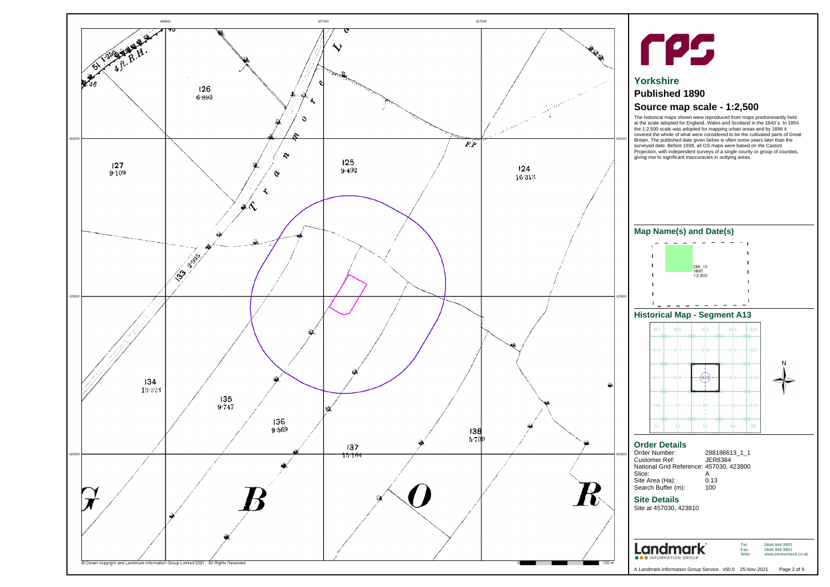### **Site Details**

Site at 457030, 423810



| 288186613 1 1                           |
|-----------------------------------------|
| JER8384                                 |
| National Grid Reference: 457030, 423800 |
|                                         |
| 0.13                                    |
| 100                                     |
|                                         |

Tel: Fax: Web:

0844 844 9952 0844 844 9951 www.envirocheck.co.uk

<span id="page-1-0"></span>



# **Yorkshire**

# **Published 1890**

# **Source map scale - 1:2,500**

The historical maps shown were reproduced from maps predominantly held at the scale adopted for England, Wales and Scotland in the 1840`s. In 1854 the 1:2,500 scale was adopted for mapping urban areas and by 1896 it covered the whole of what were considered to be the cultivated parts of Great Britain. The published date given below is often some years later than the surveyed date. Before 1938, all OS maps were based on the Cassini Projection, with independent surveys of a single county or group of counties, giving rise to significant inaccuracies in outlying areas.

## **Historical Map - Segment A13**



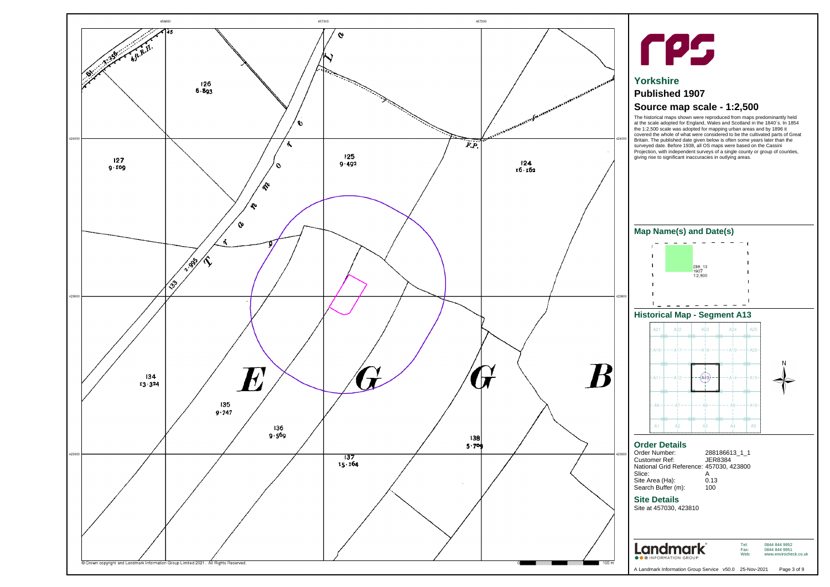## **Site Details**

Site at 457030, 423810



| Order Number:                           | 288186613_1_1 |
|-----------------------------------------|---------------|
| <b>Customer Ref:</b>                    | JFR8384       |
| National Grid Reference: 457030, 423800 |               |
| Slice:                                  |               |
| Site Area (Ha):                         | 0.13          |
| Search Buffer (m):                      | 100           |
|                                         |               |

Tel: Fax: Web:

0844 844 9952 0844 844 9951 www.envirocheck.co.uk

A Landmark Information Group Service v50.0 25-Nov-2021 Page 3 of 9

<span id="page-2-0"></span>



# **Yorkshire**

# **Published 1907**

# **Source map scale - 1:2,500**

The historical maps shown were reproduced from maps predominantly held at the scale adopted for England, Wales and Scotland in the 1840`s. In 1854 the 1:2,500 scale was adopted for mapping urban areas and by 1896 it covered the whole of what were considered to be the cultivated parts of Great Britain. The published date given below is often some years later than the surveyed date. Before 1938, all OS maps were based on the Cassini Projection, with independent surveys of a single county or group of counties, giving rise to significant inaccuracies in outlying areas.

## **Historical Map - Segment A13**



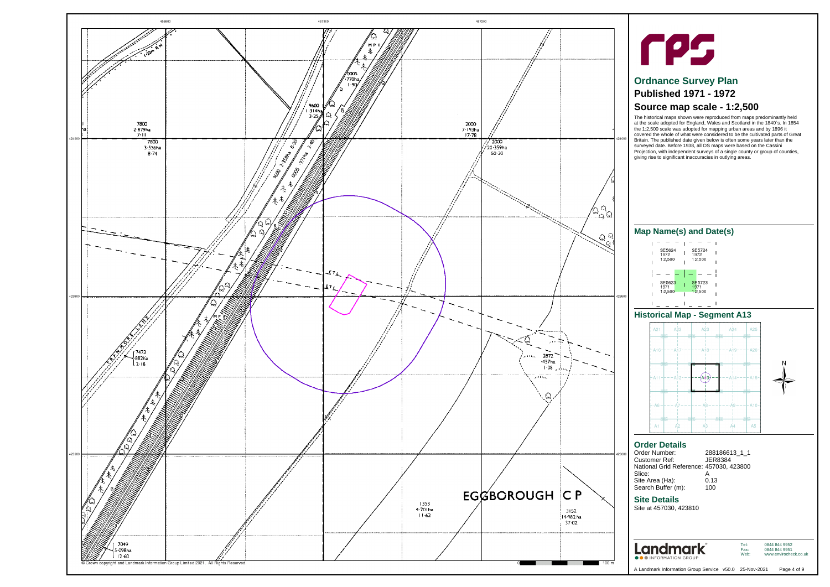#### **Site Details**

Site at 457030, 423810



| Order Number:                           | 288186613 1 1 |
|-----------------------------------------|---------------|
| <b>Customer Ref:</b>                    | JER8384       |
| National Grid Reference: 457030, 423800 |               |
| Slice:                                  | А             |
| Site Area (Ha):                         | 0.13          |
| Search Buffer (m):                      | 100           |

Tel: Fax: Web:

0844 844 9952 0844 844 9951 www.envirocheck.co.uk

<span id="page-3-0"></span>



# **Ordnance Survey Plan Published 1971 - 1972**

# **Source map scale - 1:2,500**

The historical maps shown were reproduced from maps predominantly held at the scale adopted for England, Wales and Scotland in the 1840`s. In 1854 the 1:2,500 scale was adopted for mapping urban areas and by 1896 it covered the whole of what were considered to be the cultivated parts of Great Britain. The published date given below is often some years later than the surveyed date. Before 1938, all OS maps were based on the Cassini Projection, with independent surveys of a single county or group of counties, giving rise to significant inaccuracies in outlying areas.

## **Historical Map - Segment A13**



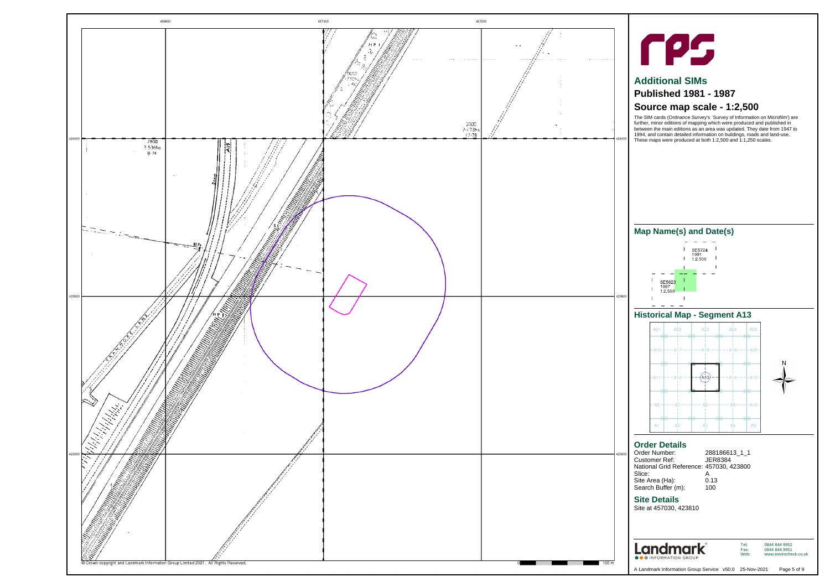## **Site Details**

Site at 457030, 423810



| Order Number:                           | 288186613 1 1 |
|-----------------------------------------|---------------|
| <b>Customer Ref:</b>                    | JER8384       |
| National Grid Reference: 457030, 423800 |               |
| Slice:                                  |               |
| Site Area (Ha):                         | 0.13          |
| Search Buffer (m):                      | 100           |

Tel: Fax: Web:

0844 844 9952 0844 844 9951

www.envirocheck.co.uk

<span id="page-4-0"></span>



# **Additional SIMs**

# **Published 1981 - 1987**

# **Source map scale - 1:2,500**

The SIM cards (Ordnance Survey's `Survey of Information on Microfilm') are further, minor editions of mapping which were produced and published in between the main editions as an area was updated. They date from 1947 to 1994, and contain detailed information on buildings, roads and land-use. These maps were produced at both 1:2,500 and 1:1,250 scales.

## **Historical Map - Segment A13**



## **Map Name(s) and Date(s)**



 $\sim$   $\sim$   $\sim$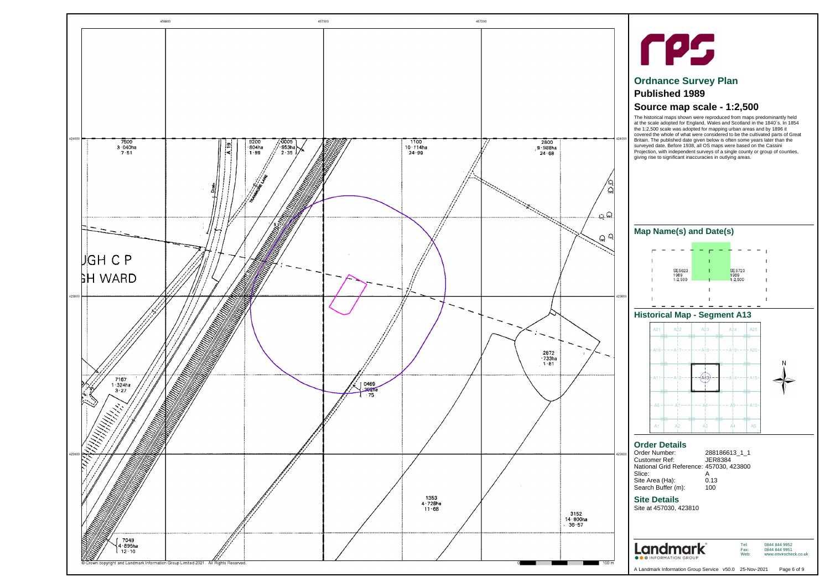## **Site Details**

Site at 457030, 423810



| 288186613 1 1                           |
|-----------------------------------------|
| JER8384                                 |
| National Grid Reference: 457030, 423800 |
| А                                       |
| 0.13                                    |
| 100                                     |
|                                         |

Tel: Fax: Web: 0844 844 9952 0844 844 9951 www.envirocheck.co.uk

A Landmark Information Group Service v50.0 25-Nov-2021 Page 6 of 9

<span id="page-5-0"></span>



# **Ordnance Survey Plan**

# **Published 1989**

# **Source map scale - 1:2,500**

The historical maps shown were reproduced from maps predominantly held at the scale adopted for England, Wales and Scotland in the 1840`s. In 1854 the 1:2,500 scale was adopted for mapping urban areas and by 1896 it covered the whole of what were considered to be the cultivated parts of Great Britain. The published date given below is often some years later than the surveyed date. Before 1938, all OS maps were based on the Cassini Projection, with independent surveys of a single county or group of counties, giving rise to significant inaccuracies in outlying areas.

## **Historical Map - Segment A13**



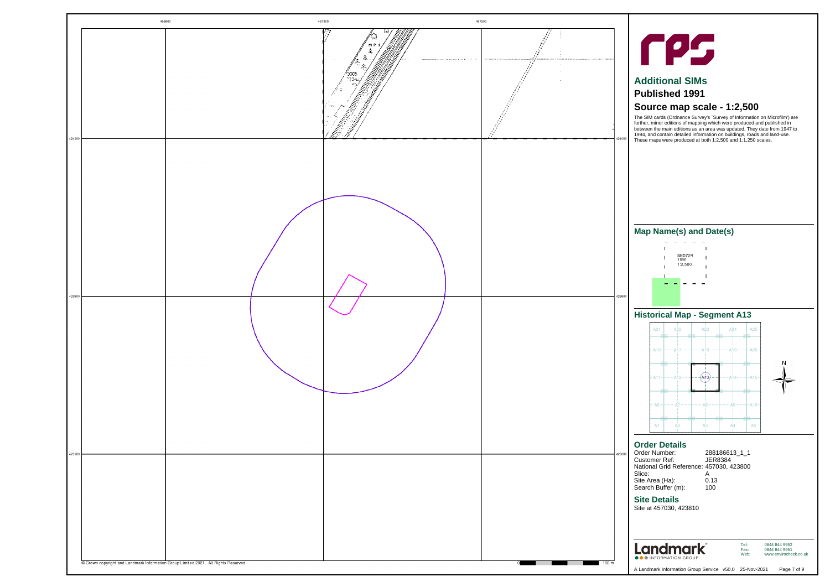## **Site Details**

Site at 457030, 423810



| 288186613 1 1                           |
|-----------------------------------------|
| JER8384                                 |
| National Grid Reference: 457030, 423800 |
| А                                       |
| 0.13                                    |
| 100                                     |
|                                         |

Tel: Fax: Web:

0844 844 9952 0844 844 9951 www.envirocheck.co.uk

<span id="page-6-0"></span>



# **Additional SIMs**

## **Published 1991**

# **Source map scale - 1:2,500**

The SIM cards (Ordnance Survey's `Survey of Information on Microfilm') are further, minor editions of mapping which were produced and published in between the main editions as an area was updated. They date from 1947 to 1994, and contain detailed information on buildings, roads and land-use. These maps were produced at both 1:2,500 and 1:1,250 scales.

## **Historical Map - Segment A13**

| A21<br>SE SW<br>NE NW      | $\overline{A}$ $\overline{2}$ | SE SW<br>NE NW            | A23            | SE SW                  |    | $A^24$ $A^25$<br>SE SW                  |   |
|----------------------------|-------------------------------|---------------------------|----------------|------------------------|----|-----------------------------------------|---|
|                            |                               |                           |                |                        |    | -A16----A17------A18-------A19-----A20- |   |
| <b>SE SW</b><br><b>NEW</b> |                               | SE SW<br>NE NW            |                | <b>SE SW</b><br>NE VVI |    | SESW<br><b>NE WV</b>                    | N |
| $-A11 - -A12$              |                               |                           | A43,           |                        |    | $- - - A_1 4 - - - - A_1 5 -$           |   |
| SE SW<br>NE NV             |                               | <b>RW</b><br><b>NE NV</b> |                | SE<br>NE VW            |    | <b>SE SW</b><br>NE NW                   |   |
| $-86 -$                    | $---A7-$                      |                           | $---AB---$     |                        |    | – – – · A9 – – – – – A10 –              |   |
| SE SW<br>A1                | A2                            | SE SW<br>$N = NVI$        | A <sub>3</sub> | SE SW<br>NE NW         | A4 | SE SW<br>A <sub>5</sub>                 |   |

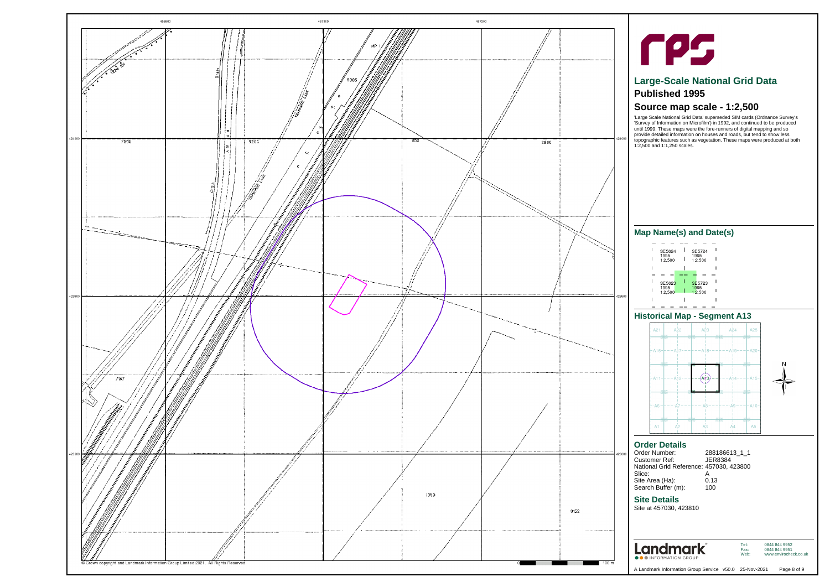### **Site Details**

Site at 457030, 423810



| Order Number:                           | 288186613_1_1 |
|-----------------------------------------|---------------|
| Customer Ref:                           | JER8384       |
| National Grid Reference: 457030, 423800 |               |
| Slice:                                  |               |
| Site Area (Ha):                         | 0.13          |
| Search Buffer (m):                      | 100           |
|                                         |               |

Tel: Fax: Web:

0844 844 9952 0844 844 9951 www.envirocheck.co.uk

A Landmark Information Group Service v50.0 25-Nov-2021 Page 8 of 9

<span id="page-7-0"></span>



# **Large-Scale National Grid Data Published 1995**

# **Source map scale - 1:2,500**

'Large Scale National Grid Data' superseded SIM cards (Ordnance Survey's 'Survey of Information on Microfilm') in 1992, and continued to be produced until 1999. These maps were the fore-runners of digital mapping and so provide detailed information on houses and roads, but tend to show less topographic features such as vegetation. These maps were produced at both 1:2,500 and 1:1,250 scales.

## **Historical Map - Segment A13**



| SE5624          |  |      | SE5724  |  |
|-----------------|--|------|---------|--|
| 1995<br>1:2.500 |  | 1995 | 1:2.500 |  |
|                 |  |      |         |  |
|                 |  |      |         |  |
|                 |  |      |         |  |
| SE5623          |  |      | SE5723  |  |
| 1995<br>1:2,500 |  | 1995 | 1:2.500 |  |